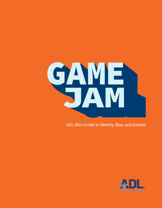

ADL Mini-Guide to Identity, Bias, and Games

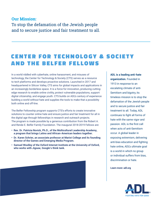## **Our Mission:**  To stop the defamation of the Jewish people and to secure justice and fair treatment to all.

## **CENTER FOR TECHNOLOGY & SOCIETY** AND THE BELFER FELLOWS

In a world riddled with cyberhate, online harassment, and misuses of technology, the Center for Technology & Society (CTS) serves as a resource to tech platforms and develops proactive solutions. Launched in 2017 and headquartered in Silicon Valley, CTS aims for global impacts and applications in an increasingly borderless space. It is a force for innovation, producing cuttingedge research to enable online civility, protect vulnerable populations, support digital citizenship, and engage youth. CTS builds on ADL's century of experience building a world without hate and supplies the tools to make that a possibility both online and off-line.

The Belfer Fellowship program supports CTS's efforts to create innovative solutions to counter online hate and ensure justice and fair treatment for all in the digital age through fellowships in research and outreach projects. The program is made possible by a generous contribution from the Robert A. and Renée E. Belfer Family Foundation. The inaugural 2018-2019 Fellows are:

- **• Rev. Dr. Patricia Novick, Ph.D., of the Multicultural Leadership Academy, a program that brings Latino and African-American leaders together.**
- **• Dr. Karen Schrier, an associate professor at Marist College and its founding director of the Games and Emerging Media Program.**
- **• Samuel Woolley of the Oxford Internet Institute at the University of Oxford, who works with Jigsaw, Google's think tank.**



**ADL is a leading anti-hate organization.** Founded in 1913 in response to an escalating climate of anti-Semitism and bigotry, its timeless mission is to stop the defamation of the Jewish people and to secure justice and fair treatment to all. Today, ADL continues to fight all forms of hate with the same vigor and passion. ADL is the first call when acts of anti-Semitism occur. A global leader in exposing extremism, delivering anti-bias education and fighting hate online, ADL's ultimate goal is a world in which no group or individual suffers from bias, discrimination or hate.

**Learn more: adl.org**

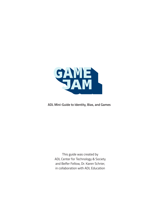

#### **ADL Mini-Guide to Identity, Bias, and Games**

This guide was created by ADL Center for Technology & Society and Belfer Fellow, Dr. Karen Schrier, in collaboration with ADL Education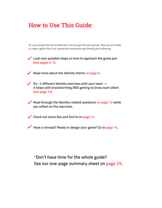## **How to Use This Guide:**

So, you just got the theme (Identity!), and you got into your groups. Now you are ready to make a game! But, first, spend time brainstorming, thinking and reflecting.

**Look over possible steps on how to approach the game jam (see pages 6-7).**

Read more about the Identity theme on page 9.

◆ Do ~2 different identity exercises with your team – **it helps with brainstorming AND getting to know each other! (see page 10)**

**Read through the Identity-related questions on page 12 while you reflect on the exercises.**

**Check out some Dos and Don'ts on page 21.**

**Have a concept? Ready to design your game? Go to page 14.** 

**\*Don't have time for the whole guide? See our one-page summary sheet on page 25.**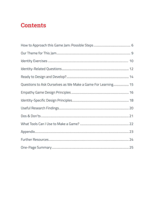## **Contents**

| Questions to Ask Ourselves as We Make a Game For Learning 15 |
|--------------------------------------------------------------|
|                                                              |
|                                                              |
|                                                              |
|                                                              |
|                                                              |
|                                                              |
|                                                              |
|                                                              |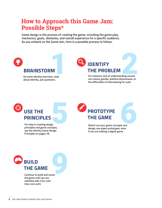## **How to Approach this Game Jam: Possible Steps\***

**Game design is the process of creating the game, including the game play, mechanics, goals, obstacles, and overall experience for a specific audience. As you embark on the Game Jam, here is a possible process to follow:**



# **USE THE PRINCIPLES** sn<br>cepts,

**For help in creating design principles and game concepts, see the Identity Game Design Principles on pages 18.**

**PROTOTYPE THE GAME**

**Sketch out your game concepts and design raw paper prototypes, even**  ts and<br>even **if you are making a digital game.**



**Continue to build and revise the game until you are satisfied with it (or until time runs out!).**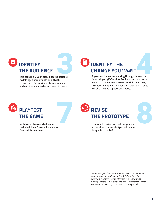

**This could be 5-year-olds, diabetes patients, middle aged accountants or butterfly researchers. Be specific as to your audience and consider your audience's specific needs.**

# **IDENTIFY THE CHANGE YOU WANT** SPRIGE YOU WANT

**A great worksheet for walking through this can be found at: goo.gl/sDkmPW. For instance, how do you want to change their: Knowledge, Skills, Behavior, Attitudes, Emotions, Perspectives, Opinions, Values. Which activities support this change?**



**Watch and observe what works and what doesn't work. Be open to feedback from others.**

# **REVISE THE PROTOTYPE PREVISE<br>THE PROTOTYPE**<br>Continue to revise and test the game in<br>an iterative process (design, test, revise

**an iterative process (design, test, revise, design, test, revise).**

*\*Adapted in part from Fullerton's and Salen/Zimmerman's approaches to game design, ADL's Anti-Bias Education Framework, Schrier's Guiding Questions for Educational Games, Schrier's EPIC Framework, and the Transformational Game Design model by Chamberlin & Schell (2018)*

8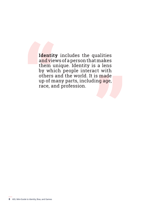**The Solution Server**<br> **Example 18 a**<br> **Example 18 and 28 and 29 a**<br> **Example 28 and 29 and 29 and 20 and 20 and 20 and 20 and 20 and 20 and 20 and 20 and 20 and 20 and 20 and 20 Theat Example 13**<br>  **The Conduction**<br>  **The Conduction Space 2**<br>  **The Conduction Space 2**<br>  **The Conduction Space 2**<br>  **The Conduction Space 2**<br>  **The Conduction Space 2**<br>  **The Conduction Space 2 Identity** includes the qualities and views of a person that makes them unique. Identity is a lens by which people interact with others and the world. It is made up of many parts, including age, race, and profession.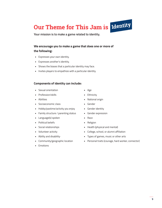# **Our Theme for This Jam is Identity**

**Your mission is to make a game related to identity.** 

#### **We encourage you to make a game that does one or more of the following:**

- Expresses your own identity.
- Expresses another's identity.
- Shows the biases that a particular identity may face.
- Invites players to empathize with a particular identity.

#### **Components of identity can include:**

- Sexual orientation
- Profession/skills
- Abilities
- Socioeconomic class
- Hobby/pastime/activity you enjoy
- Family structure / parenting status
- Language(s) spoken
- Political beliefs
- Social relationships
- Volunteer activity
- Ability and disability·
- Community/geographic location
- Emotions
- Age
- Ethnicity
- National origin
- Gender
- Gender identity
- Gender expression
- Race
- Religion
- Health (physical and mental)
- College, school, or alumni affiliation
- Types of games, music or other arts
- Personal traits (courage, hard worker, connector)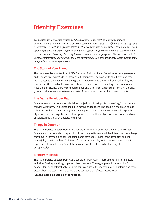## **Identity Exercises**

*We adapted some exercises created by ADL Education. Please feel free to use any of these activities or none of them, or adapt them. We recommend doing at least 2 different ones, as they serve as icebreakers as well as inspiration starters. Let the conversation flow, as fellow teammates may end up sharing stories and expressing their identities in different ways. Make sure that all teammates get a chance to share. Don't forget to really listen to each other and no judgment! Try to be vulnerable if you feel comfortable but be mindful of others' comfort level. Do not share what you hear outside of the group unless you receive permission.*

#### **The Story of Your Name**

This is an exercise adapted from ADL's Education Training. Spend 3-4 minutes having everyone on the team "free write" a (true) story about their name. They can write about anything they want related to their name: how they got it, what it means to them, and/or whether they like their name. At the end of the 4 minutes, have everyone take turns reading their stories aloud. Have the participants identify common themes and differences among the stories. At the end, you can brainstorm ways to translate parts of the stories or themes into game concepts.

#### **The Game Developer Bag**

Every person on the team needs to take an object out of their pocket/purse/bag/thing they are carrying with them. This object should be meaningful to them. The people in the group should take turns explaining why this object is meaningful to them. Then, the team needs to put the objects in a pile and together brainstorm games that use those objects in some way—such as obstacles, mechanics, characters, or themes.

#### **Things in Common**

This is an exercise adapted from ADL's Education Training. Set a stopwatch for 3-4 minutes. Everyone on the team should spend that time trying to figure out all the different random things they have in common (besides just being game developers, living in the same city, or liking games). Try to get to at least 7-8 items. Once the list is made, try to create a game concept together that is made using 3-4 of those commonalities (this can be done together or separately).

#### **Identity Molecule**

This is an exercise adapted from ADL's Education Training. In it, participants fill in a "molecule" with their five key identity groups, and then discuss it. These groups could be anything from gender identity to political beliefs. Participants can share the identity groups out loud, and then discuss how the team might create a game concept that reflects those groups.

**(See the example diagram on the next page)**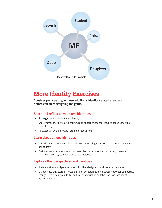

## **More Identity Exercises**

**Consider participating in these additional identity-related exercises before you start designing the game.** 

#### **Share and reflect on your own identities**

- Share games that reflect your identity.
- Share games that get your identity wrong or perpetuate stereotypes about aspects of your identity.
- Talk about your identity and listen to other's stories.

#### **Learn about others' identities**

- Consider how to represent other cultures a through games. What is appropriate to show or not show?
- Brainstorm and share cultural practices, objects, perspectives, attitudes, dialogue, communication styles, interactions, and histories.

#### **Explore other perspectives and identities**

- Switch positions and perspectives with other designer(s) and see what happens.
- Change hats, outfits, roles, locations, and/or costumes and express how your perspective changes, while being mindful of cultural appropriation and the inappropriate use of others' identities.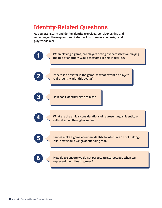## **Identity-Related Questions**

**As you brainstorm and do the identity exercises, consider asking and reflecting on these questions. Refer back to them as you design and playtest as well!**

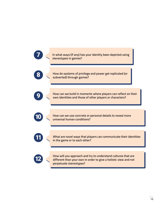|  | In what ways (if any) has your identity been depicted using<br>stereotypes in games?                                                                         |
|--|--------------------------------------------------------------------------------------------------------------------------------------------------------------|
|  | How do systems of privilege and power get replicated (or<br>subverted) through games?                                                                        |
|  | How can we build in moments where players can reflect on their<br>own identities and those of other players or characters?                                   |
|  | How can we use concrete or personal details to reveal more<br>universal human conditions?                                                                    |
|  | What are novel ways that players can communicate their identities<br>in the game or to each other?                                                           |
|  | How will you approach and try to understand cultures that are<br>different than your own in order to give a holistic view and not<br>perpetuate stereotypes? |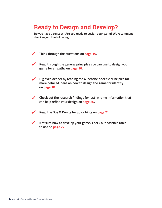## **Ready to Design and Develop?**

**Do you have a concept? Are you ready to design your game? We recommend checking out the following:**

**Think through the questions on page 15.**  $\sqrt{2}$ 

- **Read through the general principles you can use to design your game for empathy on page 16.**
- **Dig even deeper by reading the 4 identity-specific principles for more detailed ideas on how to design the game for identity on page 18.**
- **Check out the research findings for just-in-time information that can help refine your design on page 20.**
	- **Read the Dos & Don'ts for quick hints on page 21.**
- 
- **Not sure how to develop your game? check out possible tools to use on page 22.**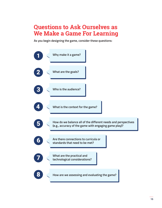## **Questions to Ask Ourselves as We Make a Game For Learning**

**As you begin designing the game, consider these questions:**

|  | Why make it a game?                                                                                                    |
|--|------------------------------------------------------------------------------------------------------------------------|
|  | What are the goals?                                                                                                    |
|  | Who is the audience?                                                                                                   |
|  | What is the context for the game?                                                                                      |
|  | How do we balance all of the different needs and perspectives<br>(e.g., accuracy of the game with engaging game play)? |
|  | Are there connections to curricula or<br>standards that need to be met?                                                |
|  | What are the practical and<br>technological considerations?                                                            |
|  | How are we assessing and evaluating the game?                                                                          |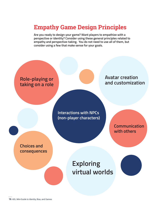## **Empathy Game Design Principles**

**Are you ready to design your game? Want players to empathize with a perspective or identity? Consider using these general principles related to empathy and perspective-taking. You do not need to use all of them, but consider using a few that make sense for your goals.** 

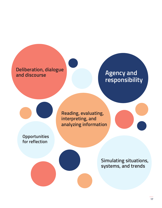# **Deliberation, dialogue**

## **Agency and responsibility**

**Reading, evaluating, interpreting, and analyzing information**

**Opportunities for reflection**

> **Simulating situations, systems, and trends**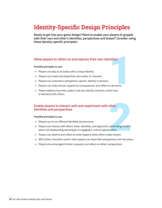## **Identity-Specific Design Principles**

**Ready to get into your game design? Want to enable your players to grapple with their own and other's identities, perspectives and biases? Consider using these identity-specific principles!**

#### **Allow players to reflect on and express their own identities**

#### **Possible principles to use:**

- Players can play as an avatar with a unique identity.
- Players can create and shape their own avatar or character.
- Players can customize a perspective, opinion, identity or persona.
- ntities<br>
Indecisions<br>
Mor how • Players can make choices, experience consequences, and reflect on decisions.
- Players address how their avatar's and own identity intersect, and/or how it intersects with others.

#### **Enable players to interact with and experiment with other identities and perspectives**

#### **Possible principles to use:**

- Players can try on different identities and personas.
- other<br>while being mindful<br>priation.<br>ke choices. • Players can interact with others' traits, identities, and arguments, while being mindful about not perpetuating stereotypes or engaging in cultural appropriation.
- Players can observe and reflect on what happens when others make choices.
- NPCs/other characters and/or other players can share their perspectives with the player.
- Players are encouraged to listen, evaluate, and reflect on others' perspectives.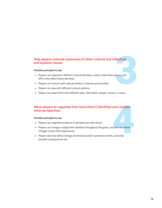# dividual<br>layers and **Help players cultivate awareness of other cultures and individual and systemic biases**

#### **Possible principles to use:**

- Players can experience different cultural identities, and/or meet other players and NPCs who reflect these identities.
- Players can interact with cultural artifacts, histories and activities.
- Players can play with different cultural systems.
- Players can experiment with different data, information, people, stories, or views.

# and consider<br>
d see how these<br>
<br>
, and what **Allow players to negotiate their (and others') identities and consider other perspectives**

#### **Possible principles to use:**

- Players can negotiate positions or perspectives with others.
- Players can change or adapt their identities throughout the game, and see how these changes impact their experiences.
- Players see how others change at individual and/or systematic levels, and what possible consequences are.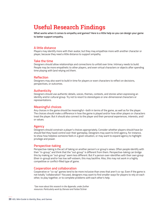## **Useful Research Findings**

**What works when it comes to empathy and games? Here is a little help so you can design your game to better support empathy.**

#### **A little distance**

Players may identify more with their avatar, but they may empathize more with another character or player, because they need a little distance to support empathy.

#### **Take the time**

Designers should allow relationships and connections to unfold over time. Intimacy needs to build. People may be more empathetic to other players, and even virtual characters or objects after spending time playing with (and relying on) them.

#### **Reflection**

Designers may also want to build in time for players or even characters to reflect on decisions, perspectives, or outcomes.

#### **Authenticity**

Designers should use authentic details, voices, themes, contexts, and stories when expressing an identity and/or cultural group. Try not to resort to stereotypes or one-dimensional characters or representations.

#### **Meaningful choices**

Any choices in the game should be meaningful--both in terms of the game, as well as for the player. The choices should make a difference in how the game is played and/or how other players or characters treat the player. But it should also connect to the player and their personal experiences, interests, and/ or values.

#### **Agency**

Designers should constrain a player's choices appropriately. Consider whether players should have (or should feel they have) control over their gameplay. Designers may want to limit agency, for instance, to show how helpless someone feels in a given situation, or may want to expand agency to highlight privilege and power.

#### **Perspective-taking**

Perspective-taking is the act of taking on another person's or group's views. Often people identify with their "in-group," and think that the "out-group" is different from them. Perspective-taking can bridge this by making an "out-group" seem less different. But if a person over-identifies with their own group (their in-group) and/or has low self-esteem, this may backfire. Also, this may not work in a highly competitive or conflict-filled type of game.

#### **Cooperation and collaboration**

Cooperative or "co-op" games tend to be more inclusive than ones that aren't co-op. Even if the game is not totally "collaboration"-focused, designers may want to find smaller ways for players to rely on each other, to play together, or to complete problems with each other's help.

*\*See more about this research in the Appendix, under further resources. Particularly work by Darvasi and Farber/Schrier*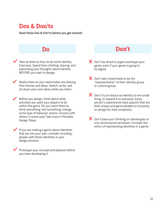## **Dos & Don'ts**

**Read these Dos & Don'ts before you get started!**

Take at least an hour to do some Identity Exercises. Spend time chatting, sharing, and expressing your thoughts about identity BEFORE you start to design.

Really listen as your teammates are sharing their stories and ideas. Sketch, write, and jot down your own ideas while you listen.

- Before you design, think about what activities you want your players to do within the game. Do you want them to: think something, feel something, change some type of behavior, and/or connect with others in some way? See more in Possible Design Steps.
- If you are making a game about identities that are not your own, consider including people with those identities in your design process.
- Prototype your concept and playtest before you start developing it.

## **Do Don't**

- X Don't be afraid to paper prototype your game, even if your game is going to be digital.
- X Don't ask a teammate to be the "representative" of their identity group or cultural group.
- $\bm{X}$  Don't try to reduce an identity to one small thing, or expand it to everyone. Every person's experiences have aspects that are both unique and generalizable to humanity so design for that complexity.
- $\boldsymbol{X}$  Don't base your thinking on stereotypes or one-dimensional narratives. Consider the ethics of representing identities in a game.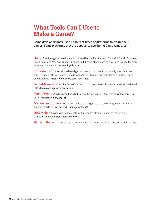## **What Tools Can I Use to Make a Game?**

**Game developers may use all different types of platforms to create their games. Some platforms that are popular to use during Game Jams are:**

**Unity:** A serious game development tool used by studios. It is good for both 3D and 2D games, very flexible and Mac and Windows-based, but it has a steep learning curve and is good for more advanced developers. **http://unity3d.com/**

**Construct 2/3:** A Windows-based game-creation tool that is particularly good for sidescrollers and platformer games, and is available on Steam (a popular platform for finding and buying games). **https://www.scirra.com/construct2**

**GameMaker Studio:** Similar to Construct 2, it is available on Steam and is Windows-based. **(http://www.yoyogames.com/studio)**

**Twine/Twine 2:** A browser-based interactive fiction (writing) tool that has a low barrier to entry. **(https://twinery.org/2)**

**Metaverse Studio:** Make an augmented reality game that can be played with an iOS or Android mobile device. **(https.//studio.gometa.io/)** 

**RPG Maker:** A windows-based platform that makes old style Japanese role-playing games. **http://www.rpgmakerweb.com/**

Pen and Paper: We encourage participants to make non-digital (board, card, athletic) games.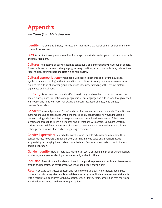## **Appendix**

**Key Terms (from ADL's glossary)**

**Identity:** The qualities, beliefs, interests, etc. that make a particular person or group similar or different from others.

**Bias:** An inclination or preference either for or against an individual or group that interferes with impartial judgment.

**Culture:** The patterns of daily life learned consciously and unconsciously by a group of people. These patterns can be seen in language, governing practices, arts, customs, holiday celebrations, food, religion, dating rituals and clothing, to name a few.

**Cultural appropriation:** When people use specific elements of a culture (e.g. ideas, symbols, images, clothing) without regard for that culture. It usually happens when one group exploits the culture of another group, often with little understanding of the group's history, experience and traditions.

**Ethnicity:** Refers to a person's identification with a group based on characteristics such as shared history, ancestry, nationality, geographic origin, language and culture; and though related, it is not synonymous with race. For example, Korean, Japanese, Chinese, Vietnamese, Laotian, Cambodian.

**Gender:** The socially-defined "rules" and roles for men and women in a society. The attitudes, customs and values associated with gender are socially constructed; however, individuals develop their gender identities in two primary ways: through an innate sense of their own identity and through their life experiences and interactions with others. Dominant western society generally defines gender as a binary system—men and women—but many cultures define gender as more fluid and existing along a continuum.

**Gender Expression:** Refers to the ways in which people externally communicate their gender identity to others through behavior, clothing, haircut, voice and emphasizing, deemphasizing or changing their bodies' characteristics. Gender expression is not an indicator of sexual orientation.

**Gender Identity:** How an individual identifies in terms of their gender. Since gender identity is internal, one's gender identity is not necessarily visible to others.

**Inclusion:** An environment and commitment to support, represent and embrace diverse social groups and identities; an environment where all people feel they belong.

**Race:** A socially constructed concept and has no biological basis. Nonetheless, people use physical traits to categorize people into different racial groups. While some people self-identify with a racial group consistent with how society would identify them, others find that their racial identity does not match with society's perception.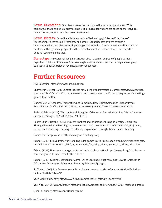**Sexual Orientation:** Describes a person's attraction to the same or opposite sex. While some argue that one's sexual orientation is visible, such observations are based on stereotypical gender norms, not to whom the person is attracted.

**Sexual Identity:** Sexual identity labels include "lesbian," "gay," "bisexual," "bi," "queer," "questioning," "heterosexual," "straight," and others. Sexual identity evolves through a developmental process that varies depending on the individual. Sexual behavior and identity can be chosen. Though some people claim their sexual orientation is also a choice, for others this does not seem to be the case.

**Stereotype:** An oversimplified generalization about a person or group of people without regard for individual differences. Even seemingly positive stereotypes that link a person or group to a specific positive trait can have negative consequences.

## **Further Resources**

ADL Education, https://www.adl.org/education

Chamberlin & Schell (2018). Secret Process for Making Transformational Games. https://www.youtube. com/watch?v=DO4I342r7CM, https://www.slideshare.net/jesseschell/the-secret-process-for-makinggames-that-matter

Darvasi (2016). "Empathy, Perspective, and Complicity: How Digital Games Can Support Peace Education and Conflict Reduction." Unesdoc.unesco.org/images/0025/002599/259928e.pdf

Farber & Schrier (2017). "The Limits and Strengths of Games as 'Empathy Machines'": http://unesdoc. unesco.org/images/0026/002619/261993E.pdf

Foster, Shah & Barany. (2017). Projective Reflection: Facilitating Learning as Identity Exploration Through Game-Based Learning. https://www.researchgate.net/publication/320471724\_Projective\_ Reflection\_Facilitating\_Learning\_as\_Identity\_Exploration\_Through\_Game-Based\_Learning

Games for Change website, http://www.gamesforchange.org

Schrier (2015). EPIC: a framework for using video games in ethics education. https://www.researchgate. net/publication/283788911\_EPIC\_a\_framework\_for\_using\_video\_games\_in\_ethics\_education

Schrier (2018). How can we use games to understand others better. https://www.adl.org/blog/how-wecan-use-games-to-understand-others-better

Schrier (2018). Guiding Questions for Game-Based Learning. J. Vogt et al. (eds), *Second Handbook of Information Technology in Primary and Secondary Education*, Springer.

T.L.Taylor, (2006). *Play between worlds*. https://www.amazon.com/Play-Between-Worlds-Exploring-Culture/dp/0262512629/

Yee's works on identity: http://www.nickyee.com/daedalus/gateway\_identity.html

Yee, Nick. (2014). *Proteus Paradox*. https://yalebooks.yale.edu/book/9780300190991/proteus-paradox

Quantic Foundry, https://quanticfoundry.com/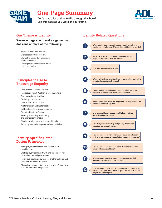

## **One-Page Summary**

**Don't have a lot of time to flip through this book? Use this page as you work on your game.** 



#### **Our Theme is Identity**

**We encourage you to make a game that does one or more of the following:**

- Expresses your own identity.
- Expresses another's identity.
- Shows the biases that a particular identity may face.
- Invites players to empathize with a particular identity.

#### **Principles to Use to Encourage Empathy**

- Role-playing or taking on a role
- Interactions with NPCs (non-player characters)
- Communication with others
- Exploring virtual worlds
- Choices and consequences
- Avatar creation and customization
- Deliberation, dialogue and discourse
- Opportunities for reflection
- Reading, evaluating, interpreting, and analyzing information
- Simulating situations, systems, and trends
- Providing appropriate agency and responsibility

#### **Identity-Specific Game Design Principles**

- Allow players to reflect on and express their own identities
- Enable players to interact with and experiment with other identities and perspectives
- Help players cultivate awareness of other cultures and individual and systemic biases
- Allow players to negotiate their (and others') identities and consider other perspectives

#### **Identity Related Questions**

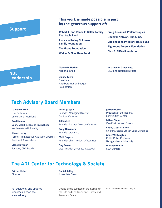#### **Support**

#### **This work is made possible in part by the generous support of:**

**Robert A. and Renée E. Belfer Family Charitable Fund**

**Joyce and Irving Goldman Family Foundation**

**The Grove Foundation**

**Walter & Elise Haas Fund**

**Craig Newmark Philanthropies Omidyar Network Fund, Inc. Lisa and John Pritzker Family Fund Righteous Persons Foundation Alan B. Slifka Foundation**

**ADL Leadership** **Marvin D. Nathan** National Chair

**Glen S. Lewy** President, Anti-Defamation League Foundation

**Jonathan A. Greenblatt** CEO and National Director

## **Tech Advisory Board Members**

**Danielle Citron**  Law Professor, University of Maryland

**Brad Hamm Dean, Medill School of Journalism,**  Northwestern University

**Shawn Henry** Former FBI Executive Assistant Director; President, Crowdstrike

**Steve Huffman** Founder, CEO, Reddit **James Joaquin** Founder, Managing Director, Obvious Ventures

**Aileen Lee** Founder, Partner, Cowboy Ventures

**Craig Newmark** Founder, Craigslist

**Matt Rogers** Founder, Chief Product Officer, Nest

**Guy Rosen** Vice President, Product, Facebook **Jeffrey Rosen** President of the National Constitution Center

**Jeffrey Saper** Vice Chair, Wilson Sonsini

**Katie Jacobs Stanton** Chief Marketing Officer, Color Genomics

**Anne Washington** Public Policy Professor, George Mason University

**Whitney Wolfe** CEO, Bumble

## **The ADL Center for Technology & Society**

**Brittan Heller Director** 

**Daniel Kelley** Associate Director

For additional and updated resources please see: **www.adl.org**

Copies of this publication are available in the Rita and Leo Greenland Library and Research Center

©2018 Anti-Defamation League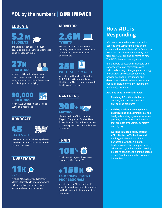## ADL by the numbers **OUR IMPACT**

#### **EDUCATE**



impacted through our Holocaust education program, Echoes & Reflections, since inception in 2005

## 27K **EDUCATORS**

acquired skills to teach anti-bias concepts and support students in using ally behaviors to challenge bias and identity-based bullying

## 30,000 **EDUCATORS**

receive ADL Education Updates and Curriculum resources

#### **ADVOCATE**

## 45 **STATES + D.C.**



have enacted Hate Crimes legislation based on, or similar to, the ADL model produced in 1981

#### **INVESTIGATE**

## **KO CASES**

in which ADL has provided extremist related information to law enforcement, including critical, up-to-the-minute background on extremist threats

#### **MONITOR**



Tweets containing anti-Semitic language were identified in our 2016 report about online harassment of journalists

## 250 **WHITE SUPREMACISTS**

who attended the 2017 "Unite the Right" Rally in Charlottesville were identified by ADL in cooperation with local law enforcement

## **PARTNERS**

300+ **MAYORS**

pledged to join ADL through the Mayors' Compact to Combat Hate, Extremism and Discrimination, a new partnership with the U.S. Conference of Mayors

### **TRAIN**

100%

Of all new FBI agents have been trained by ADL since 2001

## +150K **LAW ENFORCEMENT PROFESSIONALS**

were trained by ADL in the last 10 years, helping them to fight extremism and build trust with the communities they serve

## **How ADL is Responding**

ADL has a comprehensive approach to address anti-Semitic incidents and to counter all forms of hate. ADL's Center on Extremism is a foremost authority on extremism, terrorism and all forms of hate. The COE's team of investigators

and analysts strategically monitors and exposes extremist movements and individuals, using cutting-edge technology to track real time developments and provide actionable intelligence and data-based analysis to law enforcement, public officials, community leaders and technology companies.

#### **ADL also does this work through:**

- **• Reaching 1.5 million students** annually with our anti-bias and anti-bullying programs
- **• Building coalitions among diverse organizations and communities,** and boldly advocating against government policies, organizations and people that promote anti-Semitism, racism and bigotry
- **• Working in Silicon Valley through ADL's Center on Technology and Society**, which works in close partnership with tech industry leaders to establish best practices for addressing cyber hate and to develop proactive solutions to fight the spread of anti-Semitism and other forms of hate online